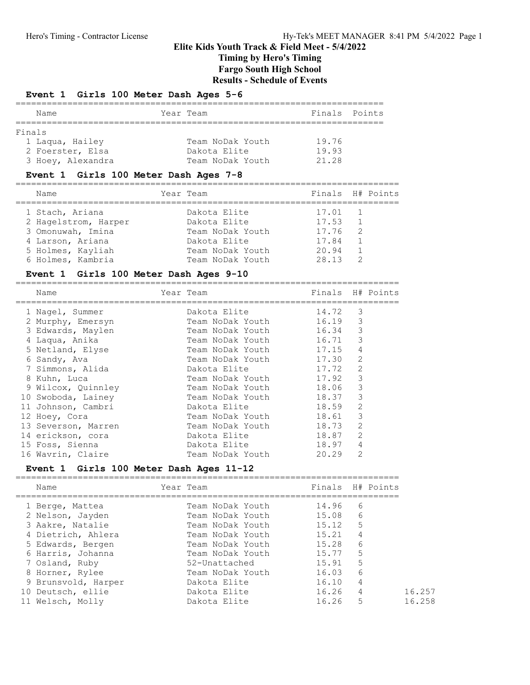## Event 1 Girls 100 Meter Dash Ages 5-6

| Name              | Year Team        | Finals Points |  |
|-------------------|------------------|---------------|--|
|                   |                  |               |  |
| Finals            |                  |               |  |
| 1 Laqua, Hailey   | Team NoDak Youth | 19.76         |  |
| 2 Foerster, Elsa  | Dakota Elite     | 19.93         |  |
| 3 Hoey, Alexandra | Team NoDak Youth | 21.28         |  |

#### Event 1 Girls 100 Meter Dash Ages 7-8

| Name                 | Year Team        | Finals H# Points |                |  |
|----------------------|------------------|------------------|----------------|--|
| 1 Stach, Ariana      | Dakota Elite     | 17.01            |                |  |
| 2 Hagelstrom, Harper | Dakota Elite     | 17.53            | $\overline{1}$ |  |
| 3 Omonuwah, Imina    | Team NoDak Youth | 17.76            | $\overline{2}$ |  |
| 4 Larson, Ariana     | Dakota Elite     | 17.84            |                |  |
| 5 Holmes, Kayliah    | Team NoDak Youth | 20.94            |                |  |
| 6 Holmes, Kambria    | Team NoDak Youth | 28 13            | $\mathcal{D}$  |  |

### Event 1 Girls 100 Meter Dash Ages 9-10

========================================================================== Name Year Team Finals H# Points

| Name                | rear Team        | Finals |                | H# PO1NUS |
|---------------------|------------------|--------|----------------|-----------|
| 1 Nagel, Summer     | Dakota Elite     | 14.72  | 3              |           |
| 2 Murphy, Emersyn   | Team NoDak Youth | 16.19  | 3              |           |
| 3 Edwards, Maylen   | Team NoDak Youth | 16.34  | 3              |           |
| 4 Laqua, Anika      | Team NoDak Youth | 16.71  | 3              |           |
| 5 Netland, Elyse    | Team NoDak Youth | 17.15  | 4              |           |
| 6 Sandy, Ava        | Team NoDak Youth | 17.30  | 2              |           |
| 7 Simmons, Alida    | Dakota Elite     | 17.72  | 2              |           |
| 8 Kuhn, Luca        | Team NoDak Youth | 17.92  | 3              |           |
| 9 Wilcox, Quinnley  | Team NoDak Youth | 18.06  | 3              |           |
| 10 Swoboda, Lainey  | Team NoDak Youth | 18.37  | 3              |           |
| 11 Johnson, Cambri  | Dakota Elite     | 18.59  | 2              |           |
| 12 Hoey, Cora       | Team NoDak Youth | 18.61  | 3              |           |
| 13 Severson, Marren | Team NoDak Youth | 18.73  | 2              |           |
| 14 erickson, cora   | Dakota Elite     | 18.87  | 2              |           |
| 15 Foss, Sienna     | Dakota Elite     | 18.97  | $\overline{4}$ |           |
| 16 Wavrin, Claire   | Team NoDak Youth | 20.29  | 2              |           |

#### Event 1 Girls 100 Meter Dash Ages 11-12

| Name                | Year Team        |       | Finals H# Points |
|---------------------|------------------|-------|------------------|
| 1 Berge, Mattea     | Team NoDak Youth | 14.96 | 6                |
| 2 Nelson, Jayden    | Team NoDak Youth | 15.08 | 6                |
| 3 Aakre, Natalie    | Team NoDak Youth | 15.12 | 5                |
| 4 Dietrich, Ahlera  | Team NoDak Youth | 15.21 | 4                |
| 5 Edwards, Bergen   | Team NoDak Youth | 15.28 | 6                |
| 6 Harris, Johanna   | Team NoDak Youth | 15.77 | 5                |
| 7 Osland, Ruby      | 52-Unattached    | 15.91 | 5                |
| 8 Horner, Rylee     | Team NoDak Youth | 16.03 | 6                |
| 9 Brunsvold, Harper | Dakota Elite     | 16.10 | 4                |
| 10 Deutsch, ellie   | Dakota Elite     | 16.26 | 4                |
| 11 Welsch, Molly    | Dakota Elite     | 16.26 | 5                |
|                     |                  |       |                  |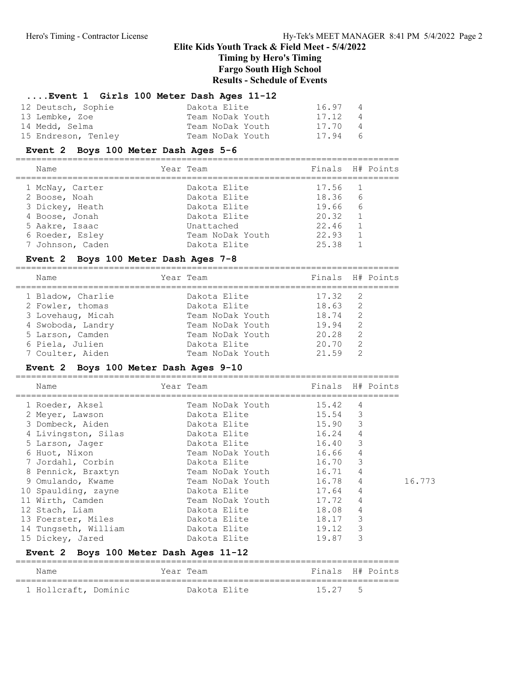## ....Event 1 Girls 100 Meter Dash Ages 11-12

| 12 Deutsch, Sophie  | Dakota Elite     | 16.97   | $\overline{4}$ |
|---------------------|------------------|---------|----------------|
| 13 Lembke, Zoe      | Team NoDak Youth | 17.12   | $\overline{4}$ |
| 14 Medd, Selma      | Team NoDak Youth | 17.70   | $\overline{4}$ |
| 15 Endreson, Tenley | Team NoDak Youth | 17.94 6 |                |

## Event 2 Boys 100 Meter Dash Ages 5-6

| Name             | Year Team        | Finals H# Points |                |  |
|------------------|------------------|------------------|----------------|--|
| 1 McNay, Carter  | Dakota Elite     | 17.56 1          |                |  |
| 2 Boose, Noah    | Dakota Elite     | 18.36            | - 6            |  |
| 3 Dickey, Heath  | Dakota Elite     | 19.66            | - 6            |  |
| 4 Boose, Jonah   | Dakota Elite     | 20.32            |                |  |
| 5 Aakre, Isaac   | Unattached       | 22.46            |                |  |
| 6 Roeder, Esley  | Team NoDak Youth | 22.93            | $\overline{1}$ |  |
| 7 Johnson, Caden | Dakota Elite     | 25.38            |                |  |
|                  |                  |                  |                |  |

## Event 2 Boys 100 Meter Dash Ages 7-8

========================================================================== Name Year Team Finals H# Points

| name              | rear Team        | Finais H# POINUS |                |  |
|-------------------|------------------|------------------|----------------|--|
| 1 Bladow, Charlie | Dakota Elite     | $17.32 \quad 2$  |                |  |
| 2 Fowler, thomas  | Dakota Elite     | 18.63            | $\overline{2}$ |  |
| 3 Lovehaug, Micah | Team NoDak Youth | 18.74            | $\overline{2}$ |  |
| 4 Swoboda, Landry | Team NoDak Youth | 19.94            | $\overline{2}$ |  |
| 5 Larson, Camden  | Team NoDak Youth | 20.28            | $\overline{2}$ |  |
| 6 Piela, Julien   | Dakota Elite     | 20.70            | $\overline{2}$ |  |
| 7 Coulter, Aiden  | Team NoDak Youth | 21.59            |                |  |

## Event 2 Boys 100 Meter Dash Ages 9-10

| Name                                   | Year Team              | Finals H# Points |                |        |
|----------------------------------------|------------------------|------------------|----------------|--------|
| 1 Roeder, Aksel                        | Team NoDak Youth       | 15.42            | 4              |        |
| 2 Meyer, Lawson                        | Dakota Elite           | 15.54            | 3              |        |
| 3 Dombeck, Aiden                       | Dakota Elite           | 15.90            | 3              |        |
| 4 Livingston, Silas                    | Dakota Elite           | 16.24            | $\overline{4}$ |        |
| 5 Larson, Jager                        | Dakota Elite           | 16.40            | 3              |        |
| 6 Huot, Nixon                          | Team NoDak Youth 16.66 |                  | $\overline{4}$ |        |
| 7 Jordahl, Corbin                      | Dakota Elite<br>16.70  |                  | 3              |        |
| 8 Pennick, Braxtyn                     | Team NoDak Youth       | 16.71            | $\overline{4}$ |        |
| 9 Omulando, Kwame                      | Team NoDak Youth       | 16.78            | 4              | 16.773 |
| 10 Spaulding, zayne                    | Dakota Elite           | 17.64            | 4              |        |
| 11 Wirth, Camden                       | Team NoDak Youth       | 17.72            | 4              |        |
| 12 Stach, Liam                         | Dakota Elite           | 18.08            | 4              |        |
| 13 Foerster, Miles                     | Dakota Elite           | 18.17            | 3              |        |
| 14 Tungseth, William                   | Dakota Elite           | 19.12            | 3              |        |
| 15 Dickey, Jared                       | Dakota Elite           | 19.87            | 3              |        |
| Event 2 Boys 100 Meter Dash Ages 11-12 |                        |                  |                |        |

| Name                 | Year Team    | Finals H# Points |  |
|----------------------|--------------|------------------|--|
| 1 Hollcraft, Dominic | Dakota Elite | 15.27 5          |  |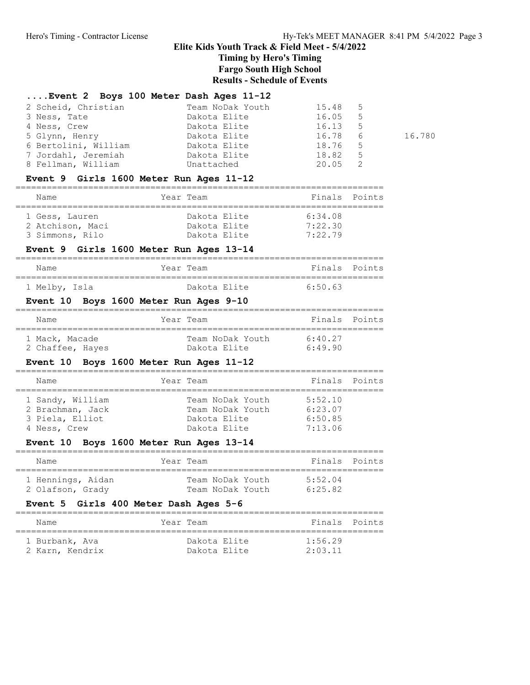## ....Event 2 Boys 100 Meter Dash Ages 11-12

| 2 Scheid, Christian  | Team NoDak Youth | 15.48 5   |        |
|----------------------|------------------|-----------|--------|
| 3 Ness, Tate         | Dakota Elite     | 16.05 5   |        |
| 4 Ness, Crew         | Dakota Elite     | $16.13$ 5 |        |
| 5 Glynn, Henry       | Dakota Elite     | 16.78 6   | 16.780 |
| 6 Bertolini, William | Dakota Elite     | 18.76 5   |        |
| 7 Jordahl, Jeremiah  | Dakota Elite     | 18.82 5   |        |
| 8 Fellman, William   | Unattached       | $20.05$ 2 |        |

## Event 9 Girls 1600 Meter Run Ages 11-12

| Name             | Year Team    | Finals Points |
|------------------|--------------|---------------|
| 1 Gess, Lauren   | Dakota Elite | 6:34.08       |
| 2 Atchison, Maci | Dakota Elite | 7:22.30       |
| 3 Simmons, Rilo  | Dakota Elite | 7:22.79       |

## Event 9 Girls 1600 Meter Run Ages 13-14

| Name          | Year Team    | Finals Points |  |
|---------------|--------------|---------------|--|
| 1 Melby, Isla | Dakota Elite | 6.50 63       |  |

## Event 10 Boys 1600 Meter Run Ages 9-10

| Name                               | Year Team                        | Finals Points     |
|------------------------------------|----------------------------------|-------------------|
| 1 Mack, Macade<br>2 Chaffee, Hayes | Team NoDak Youth<br>Dakota Elite | 6.4027<br>6:49.90 |

## Event 10 Boys 1600 Meter Run Ages 11-12

| Name             | Year Team        | Finals Points |  |
|------------------|------------------|---------------|--|
| 1 Sandy, William | Team NoDak Youth | 5:52.10       |  |
| 2 Brachman, Jack | Team NoDak Youth | 6:23.07       |  |
| 3 Piela, Elliot  | Dakota Elite     | 6:50.85       |  |
|                  | Dakota Elite     | 7:13.06       |  |
| 4 Ness, Crew     |                  |               |  |

## Event 10 Boys 1600 Meter Run Ages 13-14

| Name              | Year Team        | Finals Points |  |
|-------------------|------------------|---------------|--|
| 1 Hennings, Aidan | Team NoDak Youth | 5:52.04       |  |
| 2 Olafson, Grady  | Team NoDak Youth | 6:25.82       |  |

## Event 5 Girls 400 Meter Dash Ages 5-6

| Name            | Year Team    | Finals Points |  |
|-----------------|--------------|---------------|--|
| 1 Burbank, Ava  | Dakota Elite | 1.5629        |  |
| 2 Karn, Kendrix | Dakota Elite | 2:03.11       |  |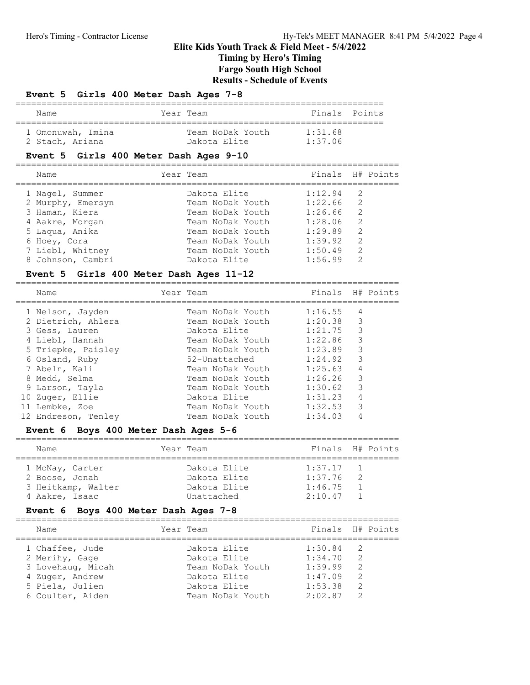## Elite Kids Youth Track & Field Meet - 5/4/2022 Timing by Hero's Timing

Fargo South High School Results - Schedule of Events

## Event 5 Girls 400 Meter Dash Ages 7-8

| Name              |  | Year Team        | Finals Points |  |  |  |  |  |
|-------------------|--|------------------|---------------|--|--|--|--|--|
| 1 Omonuwah, Imina |  | Team NoDak Youth | 1:31.68       |  |  |  |  |  |
| 2 Stach, Ariana   |  | Dakota Elite     | 1:37.06       |  |  |  |  |  |

## Event 5 Girls 400 Meter Dash Ages 9-10

| Name              | Year Team        |             | Finals H# Points |
|-------------------|------------------|-------------|------------------|
| 1 Nagel, Summer   | Dakota Elite     | $1:12.94$ 2 |                  |
| 2 Murphy, Emersyn | Team NoDak Youth | 1:22.66     | - 2              |
| 3 Haman, Kiera    | Team NoDak Youth | 1:26.66     | -2               |
| 4 Aakre, Morgan   | Team NoDak Youth | 1:28.06     | $\overline{2}$   |
| 5 Laqua, Anika    | Team NoDak Youth | 1:29.89     | 2                |
| 6 Hoey, Cora      | Team NoDak Youth | 1:39.92     | 2                |
| 7 Liebl, Whitney  | Team NoDak Youth | 1:50.49     | 2                |
| 8 Johnson, Cambri | Dakota Elite     | 1:56.99     | $\mathcal{P}$    |
|                   |                  |             |                  |

## Event 5 Girls 400 Meter Dash Ages 11-12

==========================================================================

| Name                | Year Team        | Finals H# Points |                |  |
|---------------------|------------------|------------------|----------------|--|
| 1 Nelson, Jayden    | Team NoDak Youth | 1:16.55          | 4              |  |
| 2 Dietrich, Ahlera  | Team NoDak Youth | 1:20.38          | -3             |  |
| 3 Gess, Lauren      | Dakota Elite     | $1:21.75$ 3      |                |  |
| 4 Liebl, Hannah     | Team NoDak Youth | 1:22.86          | 3              |  |
| 5 Triepke, Paisley  | Team NoDak Youth | 1:23.89          | 3              |  |
| 6 Osland, Ruby      | 52-Unattached    | 1:24.92 3        |                |  |
| 7 Abeln, Kali       | Team NoDak Youth | 1:25.63          | $\overline{4}$ |  |
| 8 Medd, Selma       | Team NoDak Youth | 1:26.26          | 3              |  |
| 9 Larson, Tayla     | Team NoDak Youth | 1:30.62          | 3              |  |
| 10 Zuger, Ellie     | Dakota Elite     | 1:31.23          | $\overline{4}$ |  |
| 11 Lembke, Zoe      | Team NoDak Youth | 1:32.53          | 3              |  |
| 12 Endreson, Tenley | Team NoDak Youth | 1:34.03          | 4              |  |

### Event 6 Boys 400 Meter Dash Ages 5-6

==========================================================================

| Name            |                    | Year Team    | Finals H# Points |                |  |
|-----------------|--------------------|--------------|------------------|----------------|--|
| 1 McNay, Carter |                    | Dakota Elite | $1:37.17$ 1      |                |  |
| 2 Boose, Jonah  |                    | Dakota Elite | 1:37.76          | $\overline{2}$ |  |
|                 | 3 Heitkamp, Walter | Dakota Elite | 1:46.75          |                |  |
| 4 Aakre, Isaac  |                    | Unattached   | 2:10.47          | $\overline{1}$ |  |

## Event 6 Boys 400 Meter Dash Ages 7-8

| Name              | Year Team        | Finals H# Points |                |  |
|-------------------|------------------|------------------|----------------|--|
| 1 Chaffee, Jude   | Dakota Elite     | 1:30.84          | $\overline{2}$ |  |
| 2 Merihy, Gage    | Dakota Elite     | 1:34.70          | $\mathcal{P}$  |  |
| 3 Lovehaug, Micah | Team NoDak Youth | 1:39.99          | $\mathcal{P}$  |  |
| 4 Zuger, Andrew   | Dakota Elite     | 1:47.09          | $\mathcal{L}$  |  |
| 5 Piela, Julien   | Dakota Elite     | 1:53.38          | 2              |  |
| 6 Coulter, Aiden  | Team NoDak Youth | 2:02.87          | $\mathcal{P}$  |  |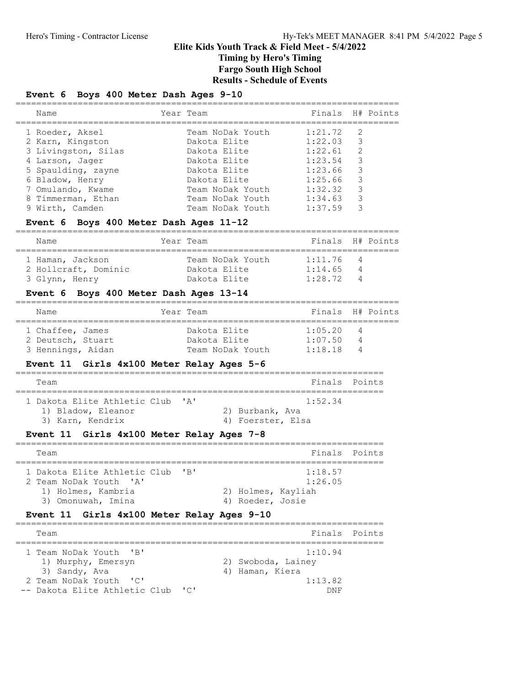## Event 6 Boys 400 Meter Dash Ages 9-10

| Finals H# Points<br>Year Team<br>Name                                                                                                                                                                                                                                                                                                                                              |  |
|------------------------------------------------------------------------------------------------------------------------------------------------------------------------------------------------------------------------------------------------------------------------------------------------------------------------------------------------------------------------------------|--|
|                                                                                                                                                                                                                                                                                                                                                                                    |  |
| $1:21.72$ 2<br>1 Roeder, Aksel<br>Team NoDak Youth<br>$1:22.03$ 3<br>2 Karn, Kingston<br>Dakota Elite<br>2<br>3 Livingston, Silas<br>1:22.61<br>Dakota Elite<br>-3<br>1:23.54<br>Dakota Elite<br>4 Larson, Jager<br>3<br>1:23.66<br>5 Spaulding, zayne<br>Dakota Elite<br>3<br>1:25.66<br>6 Bladow, Henry<br>Dakota Elite<br>3<br>1:32:32<br>7 Omulando, Kwame<br>Team NoDak Youth |  |
| 3<br>1:34.63<br>8 Timmerman, Ethan<br>Team NoDak Youth<br>1:37.59<br>3<br>9 Wirth, Camden<br>Team NoDak Youth                                                                                                                                                                                                                                                                      |  |

## Event 6 Boys 400 Meter Dash Ages 11-12

| Name                 | Year Team        | Finals H# Points |     |  |  |  |  |  |
|----------------------|------------------|------------------|-----|--|--|--|--|--|
| 1 Haman, Jackson     | Team NoDak Youth | $1:11.76$ 4      |     |  |  |  |  |  |
| 2 Hollcraft, Dominic | Dakota Elite     | 1:14.65          | - 4 |  |  |  |  |  |
| 3 Glynn, Henry       | Dakota Elite     | $1 \cdot 28$ 72  | - 4 |  |  |  |  |  |

## Event 6 Boys 400 Meter Dash Ages 13-14

| Name              |  | Year Team        | Finals H# Points |     |  |
|-------------------|--|------------------|------------------|-----|--|
| 1 Chaffee, James  |  | Dakota Elite     | 1:05.20 4        |     |  |
| 2 Deutsch, Stuart |  | Dakota Elite     | 1:07.50          | - 4 |  |
| 3 Hennings, Aidan |  | Team NoDak Youth | 1:18.18          |     |  |

## Event 11 Girls 4x100 Meter Relay Ages 5-6

| Team                                                                       | Finals Points                                   |  |
|----------------------------------------------------------------------------|-------------------------------------------------|--|
| 1 Dakota Elite Athletic Club 'A'<br>1) Bladow, Eleanor<br>3) Karn, Kendrix | 1:52.34<br>2) Burbank, Ava<br>4) Foerster, Elsa |  |

## Event 11 Girls 4x100 Meter Relay Ages 7-8

| Team                                                                                                   |                  | Finals Points                            |  |
|--------------------------------------------------------------------------------------------------------|------------------|------------------------------------------|--|
| 1 Dakota Elite Athletic Club 'B'<br>2 Team NoDak Youth 'A'<br>1) Holmes, Kambria<br>3) Omonuwah, Imina | 4) Roeder, Josie | 1:18.57<br>1:26.05<br>2) Holmes, Kayliah |  |

## Event 11 Girls 4x100 Meter Relay Ages 9-10

| Team                              | Finals Points      |  |
|-----------------------------------|--------------------|--|
| 1 Team NoDak Youth 'B'            | 1:10.94            |  |
| 1) Murphy, Emersyn                | 2) Swoboda, Lainey |  |
| 3) Sandy, Ava                     | 4) Haman, Kiera    |  |
| 2 Team NoDak Youth 'C'            | 1:13.82            |  |
| -- Dakota Elite Athletic Club 'C' | DN F               |  |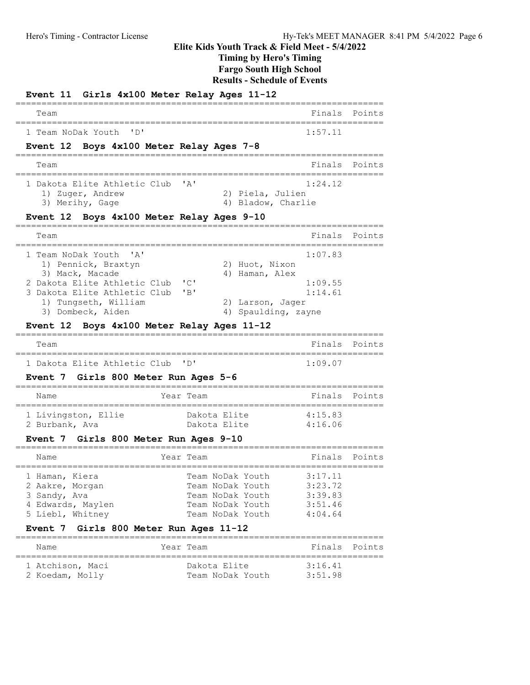Timing by Hero's Timing

Fargo South High School

Results - Schedule of Events

| Event 11 Girls 4x100 Meter Relay Ages 11-12                |                                             |                            |        |
|------------------------------------------------------------|---------------------------------------------|----------------------------|--------|
| Team                                                       |                                             | Finals                     | Points |
| $\mathsf{P}$<br>1 Team NoDak Youth                         |                                             | 1:57.11                    |        |
| Event 12 Boys 4x100 Meter Relay Ages 7-8                   |                                             |                            |        |
| Team                                                       |                                             | Finals                     | Points |
| 1 Dakota Elite Athletic Club                               | "A"                                         | 1:24.12                    |        |
| 1) Zuger, Andrew<br>3) Merihy, Gage                        | 2) Piela, Julien<br>4) Bladow, Charlie      |                            |        |
| Event 12 Boys 4x100 Meter Relay Ages 9-10                  |                                             |                            |        |
| Team                                                       |                                             | Finals                     | Points |
| ===================<br>1 Team NoDak Youth<br>' A'          |                                             | ===============<br>1:07.83 |        |
| 1) Pennick, Braxtyn                                        | 2) Huot, Nixon                              |                            |        |
| 3) Mack, Macade<br>2 Dakota Elite Athletic Club            | 4) Haman, Alex<br>"C"                       | 1:09.55                    |        |
| 3 Dakota Elite Athletic Club                               | "B"                                         | 1:14.61                    |        |
| 1) Tungseth, William                                       | 2) Larson, Jager                            |                            |        |
| 3) Dombeck, Aiden                                          | 4) Spaulding, zayne                         |                            |        |
| Event 12 Boys 4x100 Meter Relay Ages 11-12                 |                                             |                            |        |
| Team                                                       |                                             | Finals                     | Points |
| 1 Dakota Elite Athletic Club                               | $\mathbf{I}$ D                              | 1:09.07                    |        |
| Event 7 Girls 800 Meter Run Ages 5-6                       |                                             |                            |        |
| Name                                                       | Year Team                                   | Finals                     | Points |
| 1 Livingston, Ellie                                        | Dakota Elite                                | 4:15.83                    |        |
| 2 Burbank, Ava                                             | Dakota Elite                                | 4:16.06                    |        |
| Event 7 Girls 800 Meter Run Ages 9-10                      |                                             |                            |        |
| Name                                                       | ==============================<br>Year Team | Finals                     | Points |
| 1 Haman, Kiera                                             | Team NoDak Youth                            | 3:17.11                    |        |
| 2 Aakre, Morgan                                            | Team NoDak Youth                            | 3:23.72                    |        |
| 3 Sandy, Ava                                               | Team NoDak Youth                            | 3:39.83                    |        |
| 4 Edwards, Maylen                                          | Team NoDak Youth                            | 3:51.46                    |        |
| 5 Liebl, Whitney<br>Event 7 Girls 800 Meter Run Ages 11-12 | Team NoDak Youth                            | 4:04.64                    |        |
|                                                            |                                             |                            |        |
| Name                                                       | Year Team                                   | Finals                     | Points |
| 1 Atchison, Maci                                           | Dakota Elite                                | 3:16.41                    |        |
| 2 Koedam, Molly                                            | Team NoDak Youth                            | 3:51.98                    |        |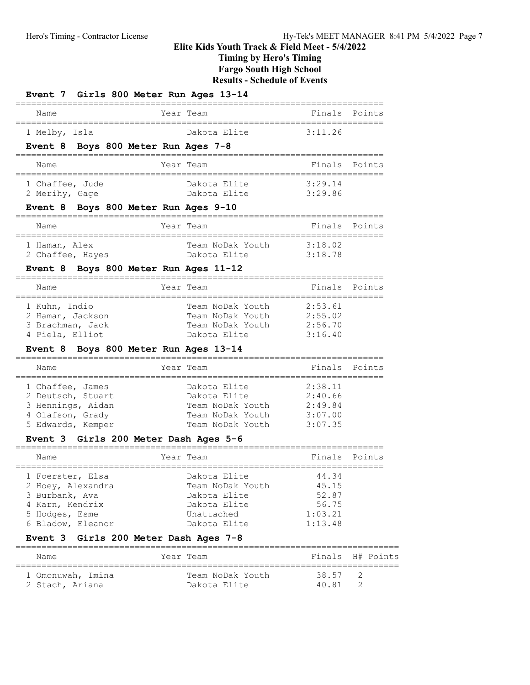Timing by Hero's Timing

Fargo South High School

Results - Schedule of Events

| Event 7 Girls 800 Meter Run Ages 13-14 |                                  |                    |               |
|----------------------------------------|----------------------------------|--------------------|---------------|
| Name                                   | Year Team                        |                    | Finals Points |
| 1 Melby, Isla                          | Dakota Elite 3:11.26             |                    |               |
| Event 8 Boys 800 Meter Run Ages 7-8    |                                  |                    |               |
| Name                                   | Year Team                        | Finals Points      |               |
| 1 Chaffee, Jude                        | Dakota Elite                     | 3:29.14            |               |
| 2 Merihy, Gage                         | Dakota Elite 3:29.86             |                    |               |
| Event 8 Boys 800 Meter Run Ages 9-10   |                                  |                    |               |
| Name                                   | Year Team                        | Finals Points      |               |
| 1 Haman, Alex                          | Team NoDak Youth 3:18.02         |                    |               |
| 2 Chaffee, Hayes                       | Dakota Elite 3:18.78             |                    |               |
| Event 8 Boys 800 Meter Run Ages 11-12  |                                  |                    |               |
| Name                                   | Year Team                        |                    | Finals Points |
| 1 Kuhn, Indio                          | Team NoDak Youth                 | 2:53.61            |               |
| 2 Haman, Jackson                       | Team NoDak Youth                 | 2:55.02            |               |
| 3 Brachman, Jack                       | Team NoDak Youth                 | 2:56.70            |               |
| 4 Piela, Elliot                        | Dakota Elite                     | 3:16.40            |               |
| Event 8 Boys 800 Meter Run Ages 13-14  | =========                        |                    |               |
| Name                                   | Year Team                        |                    | Finals Points |
| 1 Chaffee, James                       | Dakota Elite                     | 2:38.11            |               |
| 2 Deutsch, Stuart                      | Dakota Elite 2:40.66             |                    |               |
| 3 Hennings, Aidan                      | Team NoDak Youth 2:49.84         |                    |               |
| 4 Olafson, Grady                       | Team NoDak Youth 3:07.00         |                    |               |
| 5 Edwards, Kemper                      | Team NoDak Youth 3:07.35         |                    |               |
| Event 3 Girls 200 Meter Dash Ages 5-6  |                                  |                    |               |
| Name                                   | Year Team                        | Finals             | Points        |
| 1 Foerster, Elsa                       | Dakota Elite                     | 44.34              |               |
| 2 Hoey, Alexandra                      | Team NoDak Youth                 | 45.15              |               |
| 3 Burbank, Ava                         | Dakota Elite                     | 52.87              |               |
| 4 Karn, Kendrix                        | Dakota Elite                     | 56.75              |               |
| 5 Hodges, Esme<br>6 Bladow, Eleanor    | Unattached<br>Dakota Elite       | 1:03.21<br>1:13.48 |               |
| Event 3 Girls 200 Meter Dash Ages 7-8  |                                  |                    |               |
| Name                                   | Year Team                        | Finals             | H# Points     |
|                                        |                                  |                    |               |
| 1 Omonuwah, Imina                      | Team NoDak Youth<br>Dakota Elite | 38.57<br>40.81     | 2<br>2        |
| 2 Stach, Ariana                        |                                  |                    |               |

2 Stach, Ariana Dakota Elite 40.81 2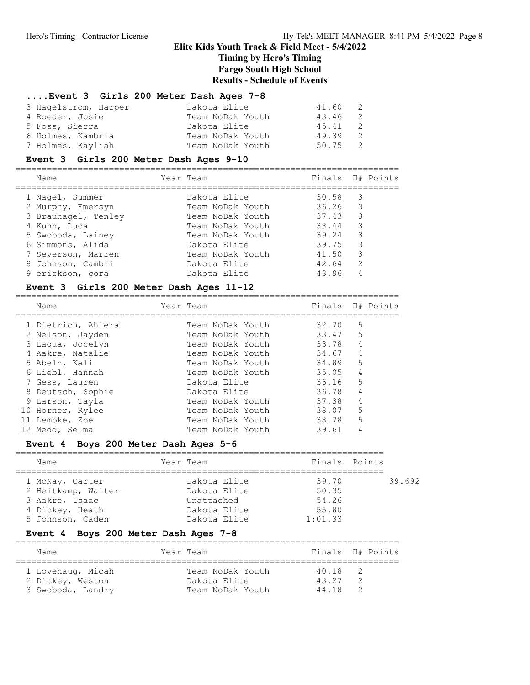### ....Event 3 Girls 200 Meter Dash Ages 7-8

| 3 Hagelstrom, Harper | Dakota Elite     | 41.60 2 |  |
|----------------------|------------------|---------|--|
| 4 Roeder, Josie      | Team NoDak Youth | 43.46 2 |  |
| 5 Foss, Sierra       | Dakota Elite     | 45.41 2 |  |
| 6 Holmes, Kambria    | Team NoDak Youth | 49.39 2 |  |
| 7 Holmes, Kayliah    | Team NoDak Youth | 50.75 2 |  |

### Event 3 Girls 200 Meter Dash Ages 9-10

==========================================================================

| Name                | Year Team        | Finals H# Points |                         |  |
|---------------------|------------------|------------------|-------------------------|--|
| 1 Nagel, Summer     | Dakota Elite     | 30.58            | $\overline{\mathbf{3}}$ |  |
| 2 Murphy, Emersyn   | Team NoDak Youth | 36.26            | $\overline{\mathbf{3}}$ |  |
| 3 Braunagel, Tenley | Team NoDak Youth | 37.43            | -3                      |  |
| 4 Kuhn, Luca        | Team NoDak Youth | 38.44            | -3                      |  |
| 5 Swoboda, Lainey   | Team NoDak Youth | 39.24            | -3                      |  |
| 6 Simmons, Alida    | Dakota Elite     | 39.75            | 3                       |  |
| 7 Severson, Marren  | Team NoDak Youth | 41.50            | 3                       |  |
| 8 Johnson, Cambri   | Dakota Elite     | 42.64            | 2                       |  |
| 9 erickson, cora    | Dakota Elite     | 43.96            | 4                       |  |

### Event 3 Girls 200 Meter Dash Ages 11-12

==========================================================================

| Year Team        |       | Finals H# Points                                                       |
|------------------|-------|------------------------------------------------------------------------|
| Team NoDak Youth |       | .5                                                                     |
| Team NoDak Youth |       |                                                                        |
| Team NoDak Youth |       | $\overline{4}$                                                         |
| Team NoDak Youth | 34.67 | 4                                                                      |
| Team NoDak Youth |       | .5                                                                     |
| Team NoDak Youth |       | 4                                                                      |
| Dakota Elite     |       | .5                                                                     |
| Dakota Elite     | 36.78 | 4                                                                      |
| Team NoDak Youth | 37.38 | $\overline{4}$                                                         |
| Team NoDak Youth |       | .5                                                                     |
| Team NoDak Youth |       | 5                                                                      |
| Team NoDak Youth | 39.61 | 4                                                                      |
|                  |       | 32.70<br>33.47 5<br>33.78<br>34.89<br>35.05<br>36.16<br>38.07<br>38.78 |

### Event 4 Boys 200 Meter Dash Ages 5-6

| Name               | Year Team    | Finals Points |        |
|--------------------|--------------|---------------|--------|
| 1 McNay, Carter    | Dakota Elite | 39.70         | 39.692 |
| 2 Heitkamp, Walter | Dakota Elite | 50.35         |        |
| 3 Aakre, Isaac     | Unattached   | 54.26         |        |
| 4 Dickey, Heath    | Dakota Elite | 55.80         |        |
| 5 Johnson, Caden   | Dakota Elite | 1:01.33       |        |

### Event 4 Boys 200 Meter Dash Ages 7-8

| Name                                                       | Year Team                                            | Finals H# Points        |  |
|------------------------------------------------------------|------------------------------------------------------|-------------------------|--|
| 1 Lovehaug, Micah<br>2 Dickey, Weston<br>3 Swoboda, Landry | Team NoDak Youth<br>Dakota Elite<br>Team NoDak Youth | 40.18<br>43 27<br>44 18 |  |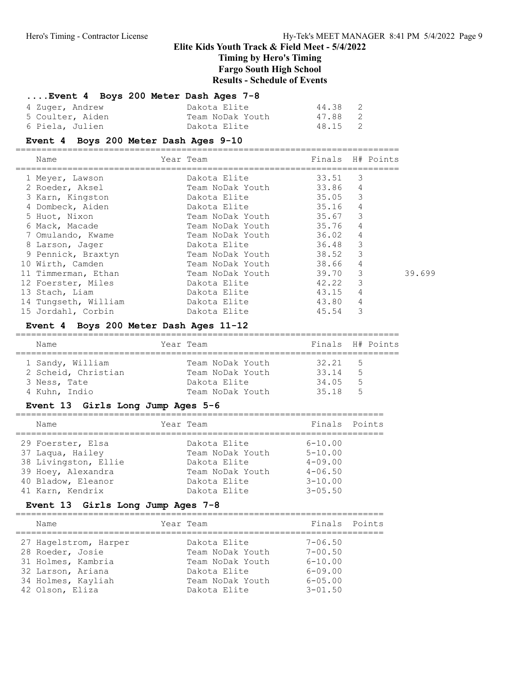Timing by Hero's Timing

Fargo South High School

Results - Schedule of Events

### ....Event 4 Boys 200 Meter Dash Ages 7-8

| 4 Zuger, Andrew  | Dakota Elite     | $\overline{2}$<br>44.38 |
|------------------|------------------|-------------------------|
| 5 Coulter, Aiden | Team NoDak Youth | 47.88 2                 |
| 6 Piela, Julien  | Dakota Elite     | 48.15 2                 |

#### Event 4 Boys 200 Meter Dash Ages 9-10

========================================================================== Year Team Finals H# Points ========================================================================== 1 Meyer, Lawson Dakota Elite 33.51 3 2 Roeder, Aksel Team NoDak Youth 33.86 4 3 Karn, Kingston Dakota Elite 35.05 3 4 Dombeck, Aiden Dakota Elite 35.16 4 5 Huot, Nixon Team NoDak Youth 35.67 3 6 Mack, Macade Team NoDak Youth 35.76 4 7 Omulando, Kwame Team NoDak Youth 36.02 4 8 Larson, Jager Dakota Elite 36.48 3 9 Pennick, Braxtyn Team NoDak Youth 38.52 3 10 Wirth, Camden Team NoDak Youth 38.66 4 11 Timmerman, Ethan Team NoDak Youth 39.70 3 39.699 12 Foerster, Miles Dakota Elite 42.22 3 13 Stach, Liam  $Dakota$  Elite 43.15 4 14 Tungseth, William Dakota Elite 43.80 4 15 Jordahl, Corbin Dakota Elite 45.54 3

#### Event 4 Boys 200 Meter Dash Ages 11-12

| Name                | Year Team |                  |       | Finals H# Points |
|---------------------|-----------|------------------|-------|------------------|
| 1 Sandy, William    |           | Team NoDak Youth | 32.21 | $-5$             |
| 2 Scheid, Christian |           | Team NoDak Youth | 33 14 | - 5              |
| 3 Ness, Tate        |           | Dakota Elite     | 34.05 | - 5              |
| 4 Kuhn, Indio       |           | Team NoDak Youth | 35 18 | - 5              |

#### Event 13 Girls Long Jump Ages 5-6

| Name                                                                                                                          | Year Team                                                                                            |                                                                                         | Finals Points |
|-------------------------------------------------------------------------------------------------------------------------------|------------------------------------------------------------------------------------------------------|-----------------------------------------------------------------------------------------|---------------|
| 29 Foerster, Elsa<br>37 Laqua, Hailey<br>38 Livingston, Ellie<br>39 Hoey, Alexandra<br>40 Bladow, Eleanor<br>41 Karn, Kendrix | Dakota Elite<br>Team NoDak Youth<br>Dakota Elite<br>Team NoDak Youth<br>Dakota Elite<br>Dakota Elite | $6 - 10.00$<br>$5 - 10.00$<br>$4 - 09.00$<br>$4 - 06.50$<br>$3 - 10.00$<br>$3 - 0.5.50$ |               |

### Event 13 Girls Long Jump Ages 7-8

| Name                  | Year Team        | Finals Points  |
|-----------------------|------------------|----------------|
| 27 Hagelstrom, Harper | Dakota Elite     | $7 - 06.50$    |
| 28 Roeder, Josie      | Team NoDak Youth | $7 - 00.50$    |
| 31 Holmes, Kambria    | Team NoDak Youth | $6 - 10.00$    |
| 32 Larson, Ariana     | Dakota Elite     | $6 - 09.00$    |
| 34 Holmes, Kayliah    | Team NoDak Youth | $6 - 0.5$ , 00 |
| 42 Olson, Eliza       | Dakota Elite     | $3 - 01.50$    |

=======================================================================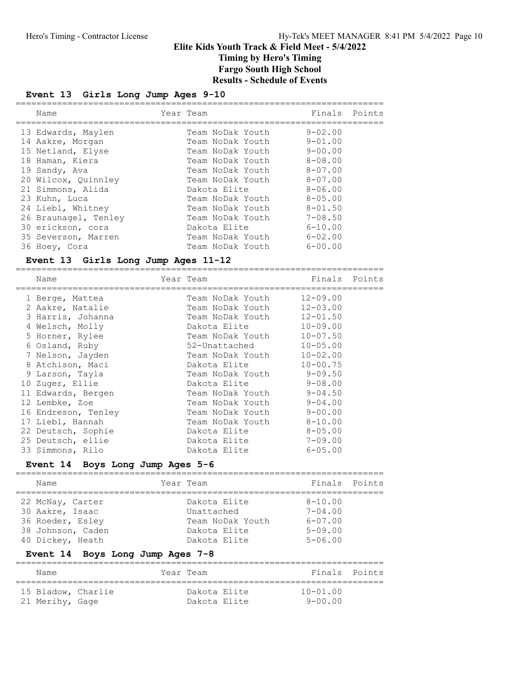## Event 13 Girls Long Jump Ages 9-10

| Name                 | Year Team        | Finals Points  |  |
|----------------------|------------------|----------------|--|
| 13 Edwards, Maylen   | Team NoDak Youth | $9 - 02.00$    |  |
| 14 Aakre, Morgan     | Team NoDak Youth | $9 - 01.00$    |  |
| 15 Netland, Elyse    | Team NoDak Youth | $9 - 00.00$    |  |
| 18 Haman, Kiera      | Team NoDak Youth | $8 - 0.8$ , 00 |  |
| 19 Sandy, Ava        | Team NoDak Youth | $8 - 07.00$    |  |
| 20 Wilcox, Quinnley  | Team NoDak Youth | $8 - 07.00$    |  |
| 21 Simmons, Alida    | Dakota Elite     | $8 - 06.00$    |  |
| 23 Kuhn, Luca        | Team NoDak Youth | $8 - 0.5$ , 00 |  |
| 24 Liebl, Whitney    | Team NoDak Youth | $8 - 01.50$    |  |
| 26 Braunagel, Tenley | Team NoDak Youth | $7 - 08.50$    |  |
| 30 erickson, cora    | Dakota Elite     | $6 - 10.00$    |  |
| 35 Severson, Marren  | Team NoDak Youth | $6 - 02.00$    |  |
| 36 Hoey, Cora        | Team NoDak Youth | $6 - 00.00$    |  |

## Event 13 Girls Long Jump Ages 11-12

| Name                |              |              |                                                                                                                                                                                                                                                                                                                            |
|---------------------|--------------|--------------|----------------------------------------------------------------------------------------------------------------------------------------------------------------------------------------------------------------------------------------------------------------------------------------------------------------------------|
| 1 Berge, Mattea     |              | $12 - 09.00$ |                                                                                                                                                                                                                                                                                                                            |
| 2 Aakre, Natalie    |              | $12 - 03.00$ |                                                                                                                                                                                                                                                                                                                            |
| 3 Harris, Johanna   |              | $12 - 01.50$ |                                                                                                                                                                                                                                                                                                                            |
| 4 Welsch, Molly     |              | $10 - 09.00$ |                                                                                                                                                                                                                                                                                                                            |
| 5 Horner, Rylee     |              | $10 - 07.50$ |                                                                                                                                                                                                                                                                                                                            |
| 6 Osland, Ruby      |              | $10 - 05.00$ |                                                                                                                                                                                                                                                                                                                            |
| 7 Nelson, Jayden    |              | $10 - 02.00$ |                                                                                                                                                                                                                                                                                                                            |
| 8 Atchison, Maci    |              | $10 - 00.75$ |                                                                                                                                                                                                                                                                                                                            |
| 9 Larson, Tayla     |              |              |                                                                                                                                                                                                                                                                                                                            |
| 10 Zuger, Ellie     |              |              |                                                                                                                                                                                                                                                                                                                            |
| 11 Edwards, Bergen  |              | 9-04.50      |                                                                                                                                                                                                                                                                                                                            |
| 12 Lembke, Zoe      |              | $9 - 04.00$  |                                                                                                                                                                                                                                                                                                                            |
| 16 Endreson, Tenley |              | $9 - 00.00$  |                                                                                                                                                                                                                                                                                                                            |
| 17 Liebl, Hannah    |              | $8 - 10.00$  |                                                                                                                                                                                                                                                                                                                            |
| 22 Deutsch, Sophie  | Dakota Elite | $8 - 05.00$  |                                                                                                                                                                                                                                                                                                                            |
| 25 Deutsch, ellie   | Dakota Elite | $7 - 09.00$  |                                                                                                                                                                                                                                                                                                                            |
| 33 Simmons, Rilo    | Dakota Elite | $6 - 05.00$  |                                                                                                                                                                                                                                                                                                                            |
|                     |              | Year Team    | Finals Points<br>Team NoDak Youth<br>Team NoDak Youth<br>Team NoDak Youth<br>Dakota Elite<br>Team NoDak Youth<br>52-Unattached<br>Team NoDak Youth<br>Dakota Elite and a shekarar 1990<br>Team NoDak Youth 9-09.50<br>Dakota Elite 9-08.00<br>Team NoDak Youth<br>Team NoDak Youth<br>Team NoDak Youth<br>Team NoDak Youth |

## Event 14 Boys Long Jump Ages 5-6

| Name                                                                                             | Year Team                                                                      | Finals Points                                                           |  |
|--------------------------------------------------------------------------------------------------|--------------------------------------------------------------------------------|-------------------------------------------------------------------------|--|
| 22 McNay, Carter<br>30 Aakre, Isaac<br>36 Roeder, Esley<br>38 Johnson, Caden<br>40 Dickey, Heath | Dakota Elite<br>Unattached<br>Team NoDak Youth<br>Dakota Elite<br>Dakota Elite | $8 - 10.00$<br>$7 - 04.00$<br>$6 - 07.00$<br>$5 - 09.00$<br>$5 - 06.00$ |  |

## Event 14 Boys Long Jump Ages 7-8

| Name               |  | Year Team    |              | Finals Points |
|--------------------|--|--------------|--------------|---------------|
| 15 Bladow, Charlie |  | Dakota Elite | $10 - 01.00$ |               |
| 21 Merihy, Gage    |  | Dakota Elite | 9-00.00      |               |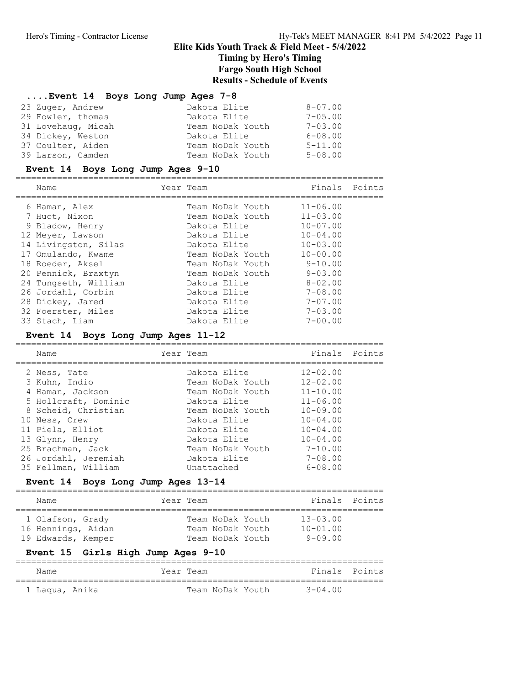#### ....Event 14 Boys Long Jump Ages 7-8

| 23 Zuger, Andrew   | Dakota Elite     | $8 - 07.00$    |
|--------------------|------------------|----------------|
| 29 Fowler, thomas  | Dakota Elite     | $7 - 0.5$ , 00 |
| 31 Lovehaug, Micah | Team NoDak Youth | $7 - 0.3$ , 00 |
| 34 Dickey, Weston  | Dakota Elite     | $6 - 08.00$    |
| 37 Coulter, Aiden  | Team NoDak Youth | $5 - 11.00$    |
| 39 Larson, Camden  | Team NoDak Youth | $5 - 08.00$    |

### Event 14 Boys Long Jump Ages 9-10

======================================================================= Name **Team** Year Team **Finals** Points

| 6 Haman, Alex        | Team NoDak Youth | $11 - 06.00$   |
|----------------------|------------------|----------------|
| 7 Huot, Nixon        | Team NoDak Youth | $11 - 03.00$   |
| 9 Bladow, Henry      | Dakota Elite     | $10 - 07.00$   |
| 12 Meyer, Lawson     | Dakota Elite     | $10 - 04.00$   |
| 14 Livingston, Silas | Dakota Elite     | $10 - 03.00$   |
| 17 Omulando, Kwame   | Team NoDak Youth | $10 - 00.00$   |
| 18 Roeder, Aksel     | Team NoDak Youth | $9 - 10.00$    |
| 20 Pennick, Braxtyn  | Team NoDak Youth | $9 - 03.00$    |
| 24 Tungseth, William | Dakota Elite     | $8 - 02.00$    |
| 26 Jordahl, Corbin   | Dakota Elite     | $7 - 08.00$    |
| 28 Dickey, Jared     | Dakota Elite     | $7 - 07.00$    |
| 32 Foerster, Miles   | Dakota Elite     | $7 - 0.3$ , 00 |
| 33 Stach, Liam       | Dakota Elite     | $7 - 00.00$    |
|                      |                  |                |

#### Event 14 Boys Long Jump Ages 11-12

======================================================================= Name Team Year Team Team Finals Points ======================================================================= 2 Ness, Tate Dakota Elite 12-02.00 3 Kuhn, Indio Team NoDak Youth 12-02.00 4 Haman, Jackson Team NoDak Youth 11-10.00 5 Hollcraft, Dominic Dakota Elite 11-06.00 8 Scheid, Christian Team NoDak Youth 10-09.00 10 Ness, Crew Dakota Elite 10-04.00 11 Piela, Elliot Dakota Elite 10-04.00 13 Glynn, Henry Dakota Elite 10-04.00 25 Brachman, Jack Team NoDak Youth 7-10.00 26 Jordahl, Jeremiah Dakota Elite 7-08.00 35 Fellman, William Unattached 6-08.00

#### Event 14 Boys Long Jump Ages 13-14

| Name |                                                              | Year Team |                                                          | Finals Points                               |  |
|------|--------------------------------------------------------------|-----------|----------------------------------------------------------|---------------------------------------------|--|
|      | 1 Olafson, Grady<br>16 Hennings, Aidan<br>19 Edwards, Kemper |           | Team NoDak Youth<br>Team NoDak Youth<br>Team NoDak Youth | $13 - 03.00$<br>$10 - 01.00$<br>$9 - 09.00$ |  |

### Event 15 Girls High Jump Ages 9-10

| Name           | Year Team |  |                  | Finals Points |  |
|----------------|-----------|--|------------------|---------------|--|
|                |           |  |                  |               |  |
| 1 Laqua, Anika |           |  | Team NoDak Youth | $3 - 04.00$   |  |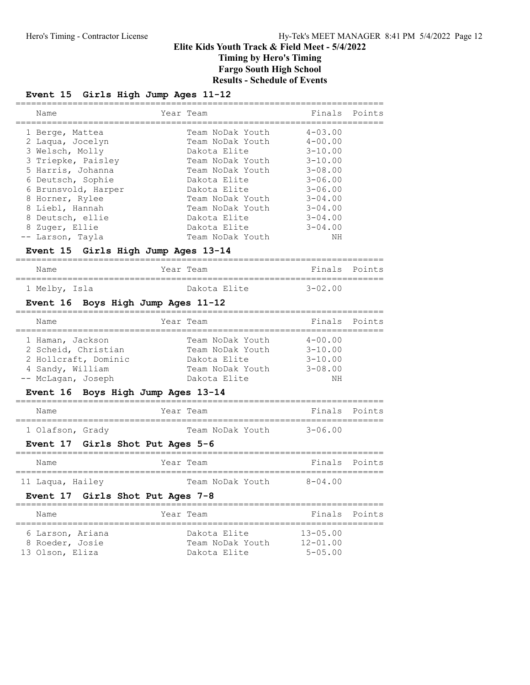## Event 15 Girls High Jump Ages 11-12

|   | Name                | Year Team        | Finals Points  |  |
|---|---------------------|------------------|----------------|--|
|   | 1 Berge, Mattea     | Team NoDak Youth | $4 - 0.3$ , 00 |  |
|   | 2 Laqua, Jocelyn    | Team NoDak Youth | $4 - 00.00$    |  |
|   | 3 Welsch, Molly     | Dakota Elite     | $3 - 10.00$    |  |
|   | 3 Triepke, Paisley  | Team NoDak Youth | $3 - 10.00$    |  |
|   | 5 Harris, Johanna   | Team NoDak Youth | $3 - 08.00$    |  |
|   | 6 Deutsch, Sophie   | Dakota Elite     | $3 - 06.00$    |  |
|   | 6 Brunsvold, Harper | Dakota Elite     | $3 - 06.00$    |  |
|   | 8 Horner, Rylee     | Team NoDak Youth | $3 - 04.00$    |  |
|   | 8 Liebl, Hannah     | Team NoDak Youth | $3 - 04.00$    |  |
| 8 | Deutsch, ellie      | Dakota Elite     | $3 - 04.00$    |  |
|   | 8 Zuger, Ellie      | Dakota Elite     | $3 - 04.00$    |  |
|   | -- Larson, Tayla    | Team NoDak Youth | NΗ             |  |

## Event 15 Girls High Jump Ages 13-14

| Name          | Year Team    | Finals Points |  |
|---------------|--------------|---------------|--|
| 1 Melby, Isla | Dakota Elite | $3 - 02.00$   |  |

## Event 16 Boys High Jump Ages 11-12

| Name                 | Year Team        | Finals Points |  |
|----------------------|------------------|---------------|--|
| 1 Haman, Jackson     | Team NoDak Youth | $4 - 00.00$   |  |
| 2 Scheid, Christian  | Team NoDak Youth | $3 - 10.00$   |  |
| 2 Hollcraft, Dominic | Dakota Elite     | $3 - 10.00$   |  |
| 4 Sandy, William     | Team NoDak Youth | $3 - 08.00$   |  |
| -- McLagan, Joseph   | Dakota Elite     | NΗ            |  |

## Event 16 Boys High Jump Ages 13-14

| Name             | Year Team |                  | Finals Points |  |
|------------------|-----------|------------------|---------------|--|
|                  |           |                  |               |  |
| 1 Olafson, Grady |           | Team NoDak Youth | 3-06 00       |  |

## Event 17 Girls Shot Put Ages 5-6

| Name             |  | Year Team        | Finals Points |  |
|------------------|--|------------------|---------------|--|
| 11 Laqua, Hailey |  | Team NoDak Youth | $8 - 04.00$   |  |

### Event 17 Girls Shot Put Ages 7-8

| Name                                                   | Year Team |                                                  | Finals Points                                  |  |
|--------------------------------------------------------|-----------|--------------------------------------------------|------------------------------------------------|--|
| 6 Larson, Ariana<br>8 Roeder, Josie<br>13 Olson, Eliza |           | Dakota Elite<br>Team NoDak Youth<br>Dakota Elite | $13 - 05.00$<br>$12 - 01.00$<br>$5 - 0.5$ . 00 |  |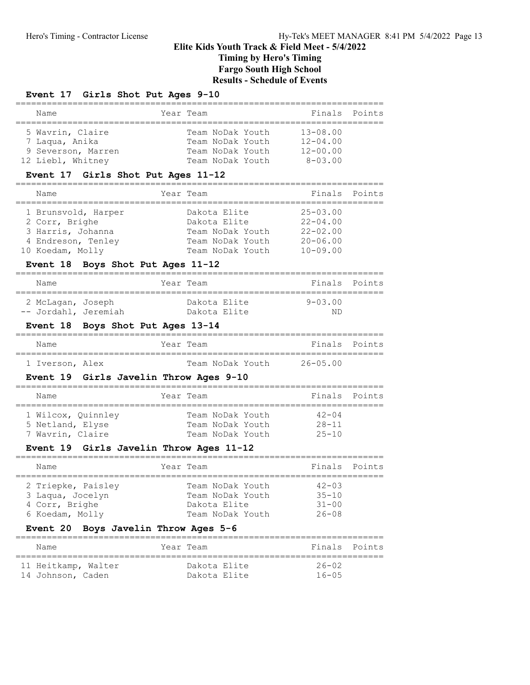# Elite Kids Youth Track & Field Meet - 5/4/2022 Timing by Hero's Timing Fargo South High School

Results - Schedule of Events

## Event 17 Girls Shot Put Ages 9-10

| Name               | Year Team        | Finals Points  |  |
|--------------------|------------------|----------------|--|
|                    |                  |                |  |
| 5 Wavrin, Claire   | Team NoDak Youth | $13 - 08.00$   |  |
| 7 Laqua, Anika     | Team NoDak Youth | $12 - 04.00$   |  |
| 9 Severson, Marren | Team NoDak Youth | $12 - 00.00$   |  |
| 12 Liebl, Whitney  | Team NoDak Youth | $8 - 0.3$ , 00 |  |

## Event 17 Girls Shot Put Ages 11-12

| Name                | Year Team        | Finals Points |  |
|---------------------|------------------|---------------|--|
|                     |                  |               |  |
| 1 Brunsvold, Harper | Dakota Elite     | $25 - 03.00$  |  |
| 2 Corr, Brighe      | Dakota Elite     | $22 - 04.00$  |  |
| 3 Harris, Johanna   | Team NoDak Youth | $22 - 02.00$  |  |
| 4 Endreson, Tenley  | Team NoDak Youth | $20 - 06.00$  |  |
| 10 Koedam, Molly    | Team NoDak Youth | $10 - 09.00$  |  |

## Event 18 Boys Shot Put Ages 11-12

| Name                 |  | Year Team    |         | Finals Points |
|----------------------|--|--------------|---------|---------------|
| 2 McLagan, Joseph    |  | Dakota Elite | 9-03 00 |               |
| -- Jordahl, Jeremiah |  | Dakota Elite | ΝD      |               |

## Event 18 Boys Shot Put Ages 13-14

| Name            | Year Team |  |                  | Finals Points |  |
|-----------------|-----------|--|------------------|---------------|--|
| 1 Iverson, Alex |           |  | Team NoDak Youth | 26-05 00      |  |

## Event 19 Girls Javelin Throw Ages 9-10

| Name                                                       | Year Team                                                | Finals Points                       |  |
|------------------------------------------------------------|----------------------------------------------------------|-------------------------------------|--|
| 1 Wilcox, Ouinnley<br>5 Netland, Elyse<br>7 Wavrin, Claire | Team NoDak Youth<br>Team NoDak Youth<br>Team NoDak Youth | $42 - 04$<br>$28 - 11$<br>$25 - 10$ |  |

## Event 19 Girls Javelin Throw Ages 11-12

| Name                                                                        | Year Team                                                                | Finals Points                                    |  |
|-----------------------------------------------------------------------------|--------------------------------------------------------------------------|--------------------------------------------------|--|
| 2 Triepke, Paisley<br>3 Laqua, Jocelyn<br>4 Corr, Brighe<br>6 Koedam, Molly | Team NoDak Youth<br>Team NoDak Youth<br>Dakota Elite<br>Team NoDak Youth | $42 - 03$<br>$35 - 10$<br>$31 - 00$<br>$26 - 08$ |  |

## Event 20 Boys Javelin Throw Ages 5-6

| Name                | Year Team    | Finals Points |  |
|---------------------|--------------|---------------|--|
| 11 Heitkamp, Walter | Dakota Elite | $26 - 02$     |  |
| 14 Johnson, Caden   | Dakota Elite | $16 - 05$     |  |